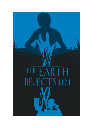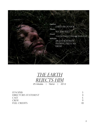



25 minutes | Horror | 2012

| <b>SYNOPSIS</b>      |  |
|----------------------|--|
| DIRECTOR'S STATEMENT |  |
| <b>CAST</b>          |  |
| <b>CREW</b>          |  |
| <b>FULL CREDITS</b>  |  |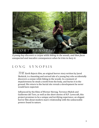

A young boy discovers a corpse while biking in the woods, and then faces unexpected and macabre consequences when he tries to bury it.

## LONG SYNOPSIS

 $THE$  Earth Rejects Him, an original horror story written by Jared Skolnick, is a haunting and surreal tale of a young boy who accidentally discovers a corpse while biking in the woods. In a moment of impulsiveness he steals a tooth from the body, and buries it in the ground. His return to the burial site reveals a development he never would have expected.

Influenced by the films of Werner Herzog, Terrence Malick and Guillermo del Toro, as well as the short stories of H.P. Lovecraft, this project promises to be a unique and terrifying experience, an elegant horror film about modern man's relationship with the unknowable powers found in nature.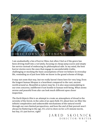

I am unabashedly a fan of horror films, but often I feel as if the genre has been driving itself into a rut lately, focusing on cheap jump scares and empty fan service instead of embracing its philosophical side. In my mind, the best horror stories were the ones that engage in uncomfortable truths, challenging or mocking the basic assumptions of how we behave in everyday life, reminding us of just how little we know in the grand scheme of things.

It may not seem that way, but we really haven't been here for very long. Even the longest human lifespan is a heartbeat compared to the vast, ancient world around us. Beautiful as nature may be, it is also unaccommodating to our own concerns, indifferent if not hostile to human well-being. What seems serene and peaceful from afar can look much different upon closer inspection.

The Earth Rejects Him is an attempt to create an atmosphere of dread in the serenity of the forest, in the calm of an open field. It's about how we filter the infinite complexities and unknowable mechanisms of the natural world through our own limited perspectives, and how the end of that pursuit won't always be flattering to the ego. It's a lot to chew on for a 25-minute movie, but hey, it's just horror, right?

> JARED SKOLNICK DIRECTOR/WRITER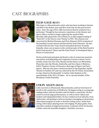# Cast Biographies



## **Ellis gage (ray)**

Ellis Gage is a Massachusetts native who has been working in theater and film in the Boston area and New York City for the past several vears. Since the age of five, Ellis has known that he wanted to be a performer. Though he has extensive experience in the theater and opera, Ellis is excited to begin exploring the world of film. Recently, Ellis played the role of Marty in an AEA staged reading of "Dani Girl" at the Cherry Lane Theater in NYC. The musical was conceived by Michael Kooman and Chris Dimond, 2010 recipients of the Jonathan Larson Award and directed by Scott Schwartz. He also worked with ten time Tony Award nominated director Graziella Danielle, when cast as James in the world premier of the Benj Pasek & Justin Paul musical "James and the Giant Peach" at Goodspeed Opera House in Connecticut.

He has performed principal and feature roles in numerous musicals and operas including King and I (opposite Lorenzo Lamas), Secret Garden, Annie Get Your Gun, Beauty and the Beast, Les Miserables, Pinocchio, Into the Woods, Cinderella, and Once Upon A Mattress, H.M.S. Pinafore, Pirates of Penzance, Marriage of Figaro and Fairy Queen. Ellis has also been a featured soloist at the legendary Apollo Theater in Harlem, NY and was selected by the US Tennis Association to sing "America the Beautiful" at Arthur Ashe Stadium at the quarterfinals of the 2011 US Open. He is a proud member of the Broadway Youth Ensemble.



### **Colin Allen (man)**

Colin was born in Weymouth, Massachusetts, and has lived most of his life in the small town of Shelburne. He began acting at a young age, making videos with his brothers and his father's camcorder. He has acted in several stage performances, as well as short videos and student and independent films. He has worked several odd jobs, from whitewater raft guiding to land surveying to managing an elementary afterschool program in order to fund his acting career. Aside from acting, Colin enjoys playing music and singing. He plays guitar, bass, and other random stringed instruments. In January 2010, he became a father when his beautiful daughter, Charlotte, was born.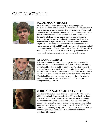# Cast Biographies



### **Jacob Moon (reggie)**

Jacob has completed 33 films, many of them college and independent films. He has completed five voiceover projects, which were produced in Massachusetts, New York and New Jersey. Jacob completed a BI's Wholesale commercial during the summer. He has done six Theater productions, one of which was a production at Assumption College. He has been involved in several Internet projects, including some for CollegeHumor.com. Jacob has also, been involved in a production of a TV Pilot Produced by Kevin Bright. He has been in a production of two music videos, which were produced in NYC and MA. Jacob was involved in the on and off camera production of the TV show Young Views/Real News, which was taped in Worcester, MA. Jacob is currently involved with a vocal coach for lessons to diversify his career with singing.



### **Rj ramos (daryl)**

RJ Ramos has been film acting for two years. He has worked in many student and independent films as well as played an extra in the feature films Knight and Day and Grown Ups. He is in eighth grade and currently cast in his schools production of Dude, Do You Hear What I Hear. He is also involved in Chess Club and Robotics at his school. RJ gives back to his community by volunteering at the After School Program as a mentor for younger boys. He plans to attend Monty Tech Vocational School in the fall and to pursue acting in his bright future.



### **Chris shanahan (ray's father)**

Christopher Shanahan started acting professionally while he was still in high school. He graduated with a BFA in acting from Boston University's School for the Arts. Chris has been a past company member with the Seattle Shakespeare Festival and the Chicago Shakespeare Ensemble. He has appeared in television, film and on stage most recently finishing a very enjoyable run as "Hi-Pockets" Duncan" in The Buddy Holly Story. Chris can also often be seen and heard singing songs about Star Trek with his daughter and their band 'Shuttlecraft'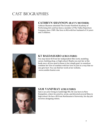# **CAST BIOGRAPHIES**



## **CATHRYN SHANNON (RAY'S MOTHER)**

Cathryn Shannon attended The Greater Hartford Academy of Performing Arts and has been a member of The Valley Repertory Company since 1989. She lives in MA with her husband of 14 years and 3 children.



### **KT BALDASSARO (CREATURE)**

You may know Kt from her independent film work, modeling career, knitting shop, or high school. Maybe you met her at the bank once; all you need to know is her simple goal: to somehow combine her love of zombies with her love of yarn in a way that no one gets hurt. You can find her work at her website, www.zombie-hunter.com



## **SAM VANIVRAY (CREATURE)**

Sam is an actor living in Cambridge MA. He was born in New Hampshire, where he acted in, wrote, and directed several films in high school. He has a BS from Northeastern University; his day job involves designing robots.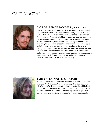# **CAST BIOGRAPHIES**



### **MORGAN HOYLE-COMBS (CREATURE)**

Hey, you're reading Morgan's bio. That means you're interested! And vou love him! But in all seriousness, Morgan is a graduate of PVPA (Pioneer Valley Performing Arts), Greenfield Community College with an Associates in Photography and Media Art and has performed in community productions such as Annie, The Sound of Music, London Suite, Cabaret and The Taming of the Shrew. In his free time, he goes out to shoot freelance minimalistic landscapes and objects, watches dozens of surreal, art house films, saves money for cameras, film and his own business and writes the most unusual confusing sentences that puts people in a "confuzzled" state. He hopes to become a stop-motion animator incorporating a large variety of different format photo and movie cameras.\* \*He's pretty sure this is the tip of the iceberg



### **EMILY O'DONNELL (CREATURE)**

Emily was born and raised in and around Northampton, MA and attended PVPA (Pioneer Valley Performing Arts Charter Public High School). With a concentration in visual arts, she still helped out on set for a movie in 2007, and highly enjoyed her time with the cast and crew of this movie and the experience it gave her. She enjoys reading and writing and hopes to be an author someday.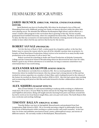## FILMMAKERS' BIOGRAPHIES

#### **JARED SKOLNICK (DIRECTOR, WRITER, CINEMATOGRAPHER,** EDITOR)

Jared Skolnick was born in Feeding Hills, MA where he developed a love of film and filmmaking from early childhood, poring over books on famous directors while the other kids were playing soccer. He attended the Williston Northampton High School, and his efforts as a senior created a film program in the curriculum that is growing to this day. He has recently graduated from Fairfield University, where he completed his thesis film, The Music of Erich Zann. To date, the film has screened in 16 international film festivals, winning awards in the process. He wishes to have others feel the joy and love that he has for the movies.

### **ROBERT SAVAGE (PRODUCER)**

'In it for the love of Rock n' Roll', a stolen quote by a forgotten author, is the line that Robert uses to convey the reason why he uses all of his valuable vacation time on projects. Cofounder of Dead Henchmen Productions, Robert strives to be involved in as many locally made productions as he can because it's all so much 'fun'.

Robert received his schooling in Audio and Visual Production at Holyoke Community College and the Connecticut School of Broadcasting where he discovered he had a face for radio. Robert's goal in any of these adventures is to entertain. As long as someone somewhere was entertained then it was worth doing.

#### **ALEXANDER KRAKOWER (SOUND DESIGN)**

Alex Krakower currently lives in Amherst, MA. He is a recent graduate of Wesleyan University where he studied Government. Alex has always had a strong interest in film and has worked in various capacities on a number of short films, and is looking forward to the release of the feature he worked on, Beasts of the Southern Wild, in 2012. Alex has had a great time working and reconnecting with Jared on this film and looks forward to further collaboration with him in the future.

#### **ALEX SQUIERS (MAKEUP EFFECTS)**

Alex is from Enfield, CT and started dabbling in makeup while working in a Halloween retail store. He is now a 10-year Make Up Artist veteran for Six Flags New England's Halloween and FrightFest attractions. Being self-taught and also learning from peers and those around him has led to work on two local feature length films, and a six-part web series. The Earth Rejects Him was a welcome and exciting challenge.

#### **TIMOTHY BALLAN (ORIGINAL SCORE)**

Timothy Ballan, was born in Springfield, Massachusetts and graduated from East Longmeadow High School in 2003. He is currently pursuing a degree in philosophy from the University of Massachusetts while working as a piano teacher and youth counselor. In his free time, he writes and publishes neoclassical music, poetry, philosophical essays, and stories of different natures. He currently resides in Northampton, Massachusetts.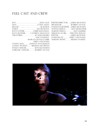## FULL CAST AND CREW

| PRODUCERROBERT SAVAGE         |
|-------------------------------|
| CINEMATOGRAPHERJARED SKOLNICK |
| SOUND DESIGNALEX KRAKOWER     |
| MAKEUP DESIGNALEX SQUIERS     |
| ORIGINAL SCORETIMOTHY BALLAN  |
|                               |
| PA/BOOM OPEMILY O'DONNELL     |
| MAKEUP ARTISTMELISSA WASSELL  |
|                               |
|                               |
|                               |
|                               |
|                               |
|                               |

|                    | PRODUCERROBERT SAVAGE                  |
|--------------------|----------------------------------------|
| RJ RAMOS           | CINEMATOGRAPHERJARED SKOLNICK          |
|                    | SOUND DESIGNALEX KRAKOWER              |
| . CHRIS SHANAHAN   | MAKEUP DESIGNALEX SQUIERS              |
| RCATHRYN SHANNON   | ORIGINAL SCORETIMOTHY BALLAN           |
|                    |                                        |
|                    | SAM VANIVRAY PA/BOOM OPEMILY O'DONNELL |
| MORGAN HOYLE-COMBS | MAKEUP ARTISTMELISSA WASSELL           |
|                    |                                        |